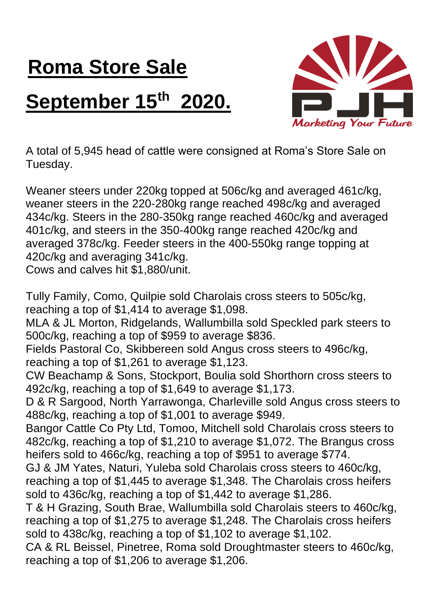## **Roma Store Sale September 15th 2020.**



A total of 5,945 head of cattle were consigned at Roma's Store Sale on Tuesday.

Weaner steers under 220kg topped at 506c/kg and averaged 461c/kg, weaner steers in the 220-280kg range reached 498c/kg and averaged 434c/kg. Steers in the 280-350kg range reached 460c/kg and averaged 401c/kg, and steers in the 350-400kg range reached 420c/kg and averaged 378c/kg. Feeder steers in the 400-550kg range topping at 420c/kg and averaging 341c/kg.

Cows and calves hit \$1,880/unit.

Tully Family, Como, Quilpie sold Charolais cross steers to 505c/kg, reaching a top of \$1,414 to average \$1,098. MLA & JL Morton, Ridgelands, Wallumbilla sold Speckled park steers to 500c/kg, reaching a top of \$959 to average \$836. Fields Pastoral Co, Skibbereen sold Angus cross steers to 496c/kg, reaching a top of \$1,261 to average \$1,123. CW Beachamp & Sons, Stockport, Boulia sold Shorthorn cross steers to 492c/kg, reaching a top of \$1,649 to average \$1,173. D & R Sargood, North Yarrawonga, Charleville sold Angus cross steers to 488c/kg, reaching a top of \$1,001 to average \$949. Bangor Cattle Co Pty Ltd, Tomoo, Mitchell sold Charolais cross steers to 482c/kg, reaching a top of \$1,210 to average \$1,072. The Brangus cross heifers sold to 466c/kg, reaching a top of \$951 to average \$774. GJ & JM Yates, Naturi, Yuleba sold Charolais cross steers to 460c/kg, reaching a top of \$1,445 to average \$1,348. The Charolais cross heifers sold to 436c/kg, reaching a top of \$1,442 to average \$1,286. T & H Grazing, South Brae, Wallumbilla sold Charolais steers to 460c/kg, reaching a top of \$1,275 to average \$1,248. The Charolais cross heifers sold to 438c/kg, reaching a top of \$1,102 to average \$1,102. CA & RL Beissel, Pinetree, Roma sold Droughtmaster steers to 460c/kg, reaching a top of \$1,206 to average \$1,206.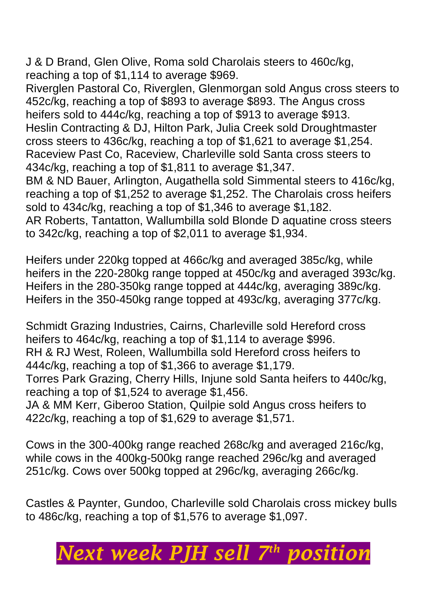J & D Brand, Glen Olive, Roma sold Charolais steers to 460c/kg, reaching a top of \$1,114 to average \$969.

Riverglen Pastoral Co, Riverglen, Glenmorgan sold Angus cross steers to 452c/kg, reaching a top of \$893 to average \$893. The Angus cross heifers sold to 444c/kg, reaching a top of \$913 to average \$913. Heslin Contracting & DJ, Hilton Park, Julia Creek sold Droughtmaster cross steers to 436c/kg, reaching a top of \$1,621 to average \$1,254. Raceview Past Co, Raceview, Charleville sold Santa cross steers to 434c/kg, reaching a top of \$1,811 to average \$1,347.

BM & ND Bauer, Arlington, Augathella sold Simmental steers to 416c/kg, reaching a top of \$1,252 to average \$1,252. The Charolais cross heifers sold to 434c/kg, reaching a top of \$1,346 to average \$1,182.

AR Roberts, Tantatton, Wallumbilla sold Blonde D aquatine cross steers to 342c/kg, reaching a top of \$2,011 to average \$1,934.

Heifers under 220kg topped at 466c/kg and averaged 385c/kg, while heifers in the 220-280kg range topped at 450c/kg and averaged 393c/kg. Heifers in the 280-350kg range topped at 444c/kg, averaging 389c/kg. Heifers in the 350-450kg range topped at 493c/kg, averaging 377c/kg.

Schmidt Grazing Industries, Cairns, Charleville sold Hereford cross heifers to 464c/kg, reaching a top of \$1,114 to average \$996. RH & RJ West, Roleen, Wallumbilla sold Hereford cross heifers to 444c/kg, reaching a top of \$1,366 to average \$1,179. Torres Park Grazing, Cherry Hills, Injune sold Santa heifers to 440c/kg, reaching a top of \$1,524 to average \$1,456. JA & MM Kerr, Giberoo Station, Quilpie sold Angus cross heifers to

422c/kg, reaching a top of \$1,629 to average \$1,571.

Cows in the 300-400kg range reached 268c/kg and averaged 216c/kg, while cows in the 400kg-500kg range reached 296c/kg and averaged 251c/kg. Cows over 500kg topped at 296c/kg, averaging 266c/kg.

Castles & Paynter, Gundoo, Charleville sold Charolais cross mickey bulls to 486c/kg, reaching a top of \$1,576 to average \$1,097.